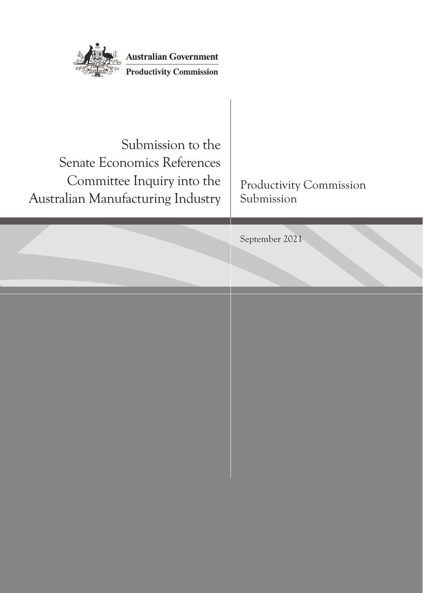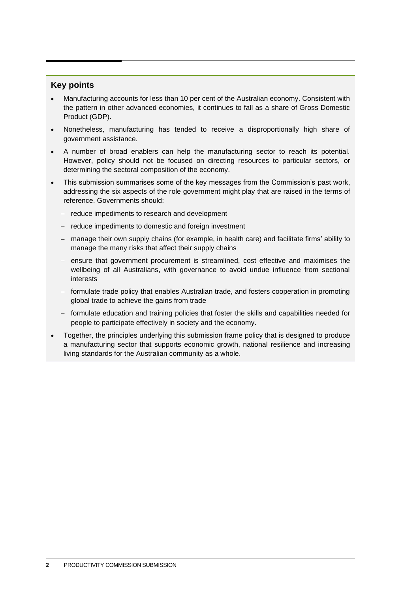#### **Key points**

- Manufacturing accounts for less than 10 per cent of the Australian economy. Consistent with the pattern in other advanced economies, it continues to fall as a share of Gross Domestic Product (GDP).
- Nonetheless, manufacturing has tended to receive a disproportionally high share of government assistance.
- A number of broad enablers can help the manufacturing sector to reach its potential. However, policy should not be focused on directing resources to particular sectors, or determining the sectoral composition of the economy.
- This submission summarises some of the key messages from the Commission's past work, addressing the six aspects of the role government might play that are raised in the terms of reference. Governments should:
	- − reduce impediments to research and development
	- − reduce impediments to domestic and foreign investment
	- − manage their own supply chains (for example, in health care) and facilitate firms' ability to manage the many risks that affect their supply chains
	- − ensure that government procurement is streamlined, cost effective and maximises the wellbeing of all Australians, with governance to avoid undue influence from sectional interests
	- − formulate trade policy that enables Australian trade, and fosters cooperation in promoting global trade to achieve the gains from trade
	- − formulate education and training policies that foster the skills and capabilities needed for people to participate effectively in society and the economy.
- Together, the principles underlying this submission frame policy that is designed to produce a manufacturing sector that supports economic growth, national resilience and increasing living standards for the Australian community as a whole.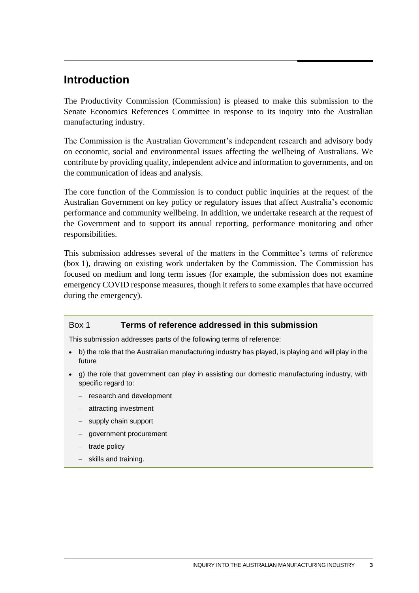# **Introduction**

The Productivity Commission (Commission) is pleased to make this submission to the Senate Economics References Committee in response to its inquiry into the Australian manufacturing industry.

The Commission is the Australian Government's independent research and advisory body on economic, social and environmental issues affecting the wellbeing of Australians. We contribute by providing quality, independent advice and information to governments, and on the communication of ideas and analysis.

The core function of the Commission is to conduct public inquiries at the request of the Australian Government on key policy or regulatory issues that affect Australia's economic performance and community wellbeing. In addition, we undertake research at the request of the Government and to support its annual reporting, performance monitoring and other responsibilities.

This submission addresses several of the matters in the Committee's terms of reference (box 1), drawing on existing work undertaken by the Commission. The Commission has focused on medium and long term issues (for example, the submission does not examine emergency COVID response measures, though it refers to some examples that have occurred during the emergency).

#### Box 1 **Terms of reference addressed in this submission**

This submission addresses parts of the following terms of reference:

- b) the role that the Australian manufacturing industry has played, is playing and will play in the future
- g) the role that government can play in assisting our domestic manufacturing industry, with specific regard to:
	- research and development
	- attracting investment
	- supply chain support
	- government procurement
	- trade policy
	- skills and training.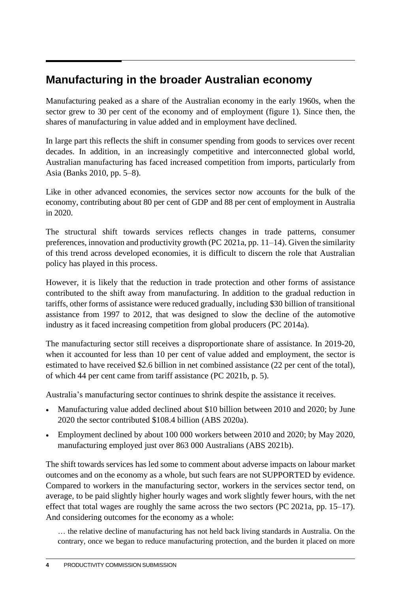# **Manufacturing in the broader Australian economy**

Manufacturing peaked as a share of the Australian economy in the early 1960s, when the sector grew to 30 per cent of the economy and of employment (figure 1). Since then, the shares of manufacturing in value added and in employment have declined.

In large part this reflects the shift in consumer spending from goods to services over recent decades. In addition, in an increasingly competitive and interconnected global world, Australian manufacturing has faced increased competition from imports, particularly from Asia (Banks 2010, pp. 5–8).

Like in other advanced economies, the services sector now accounts for the bulk of the economy, contributing about 80 per cent of GDP and 88 per cent of employment in Australia in 2020.

The structural shift towards services reflects changes in trade patterns, consumer preferences, innovation and productivity growth (PC 2021a, pp. 11–14). Given the similarity of this trend across developed economies, it is difficult to discern the role that Australian policy has played in this process.

However, it is likely that the reduction in trade protection and other forms of assistance contributed to the shift away from manufacturing. In addition to the gradual reduction in tariffs, other forms of assistance were reduced gradually, including \$30 billion of transitional assistance from 1997 to 2012, that was designed to slow the decline of the automotive industry as it faced increasing competition from global producers (PC 2014a).

The manufacturing sector still receives a disproportionate share of assistance. In 2019-20, when it accounted for less than 10 per cent of value added and employment, the sector is estimated to have received \$2.6 billion in net combined assistance (22 per cent of the total), of which 44 per cent came from tariff assistance (PC 2021b, p. 5).

Australia's manufacturing sector continues to shrink despite the assistance it receives.

- Manufacturing value added declined about \$10 billion between 2010 and 2020; by June 2020 the sector contributed \$108.4 billion (ABS 2020a).
- Employment declined by about 100 000 workers between 2010 and 2020; by May 2020, manufacturing employed just over 863 000 Australians (ABS 2021b).

The shift towards services has led some to comment about adverse impacts on labour market outcomes and on the economy as a whole, but such fears are not SUPPORTED by evidence. Compared to workers in the manufacturing sector, workers in the services sector tend, on average, to be paid slightly higher hourly wages and work slightly fewer hours, with the net effect that total wages are roughly the same across the two sectors (PC 2021a, pp. 15–17). And considering outcomes for the economy as a whole:

… the relative decline of manufacturing has not held back living standards in Australia. On the contrary, once we began to reduce manufacturing protection, and the burden it placed on more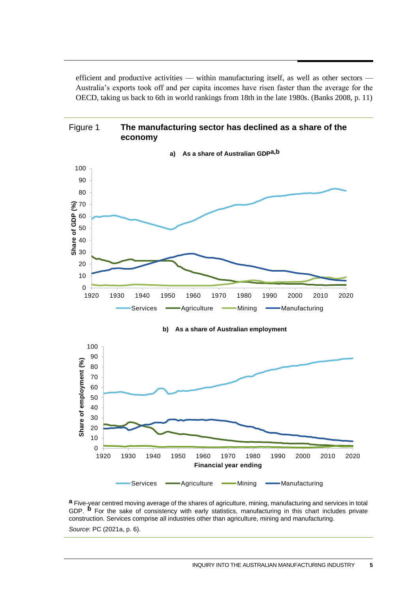efficient and productive activities — within manufacturing itself, as well as other sectors — Australia's exports took off and per capita incomes have risen faster than the average for the OECD, taking us back to 6th in world rankings from 18th in the late 1980s. (Banks 2008, p. 11)



**a** Five-year centred moving average of the shares of agriculture, mining, manufacturing and services in total GDP. **b** For the sake of consistency with early statistics, manufacturing in this chart includes private construction. Services comprise all industries other than agriculture, mining and manufacturing.

*Source*: PC (2021a, p. 6).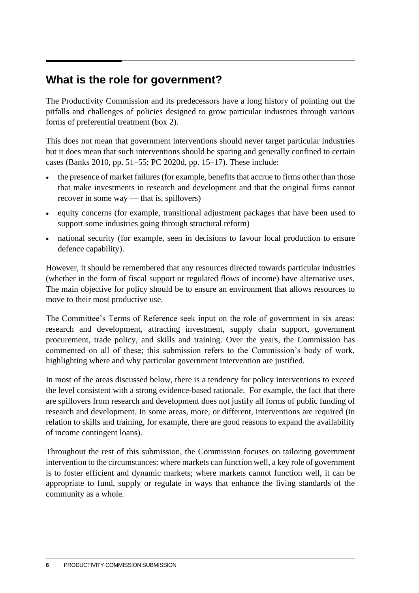# **What is the role for government?**

The Productivity Commission and its predecessors have a long history of pointing out the pitfalls and challenges of policies designed to grow particular industries through various forms of preferential treatment (box 2).

This does not mean that government interventions should never target particular industries but it does mean that such interventions should be sparing and generally confined to certain cases (Banks 2010, pp. 51–55; PC 2020d, pp. 15–17). These include:

- the presence of market failures (for example, benefits that accrue to firms other than those that make investments in research and development and that the original firms cannot recover in some way — that is, spillovers)
- equity concerns (for example, transitional adjustment packages that have been used to support some industries going through structural reform)
- national security (for example, seen in decisions to favour local production to ensure defence capability).

However, it should be remembered that any resources directed towards particular industries (whether in the form of fiscal support or regulated flows of income) have alternative uses. The main objective for policy should be to ensure an environment that allows resources to move to their most productive use.

The Committee's Terms of Reference seek input on the role of government in six areas: research and development, attracting investment, supply chain support, government procurement, trade policy, and skills and training. Over the years, the Commission has commented on all of these; this submission refers to the Commission's body of work, highlighting where and why particular government intervention are justified.

In most of the areas discussed below, there is a tendency for policy interventions to exceed the level consistent with a strong evidence-based rationale. For example, the fact that there are spillovers from research and development does not justify all forms of public funding of research and development. In some areas, more, or different, interventions are required (in relation to skills and training, for example, there are good reasons to expand the availability of income contingent loans).

Throughout the rest of this submission, the Commission focuses on tailoring government intervention to the circumstances: where markets can function well, a key role of government is to foster efficient and dynamic markets; where markets cannot function well, it can be appropriate to fund, supply or regulate in ways that enhance the living standards of the community as a whole.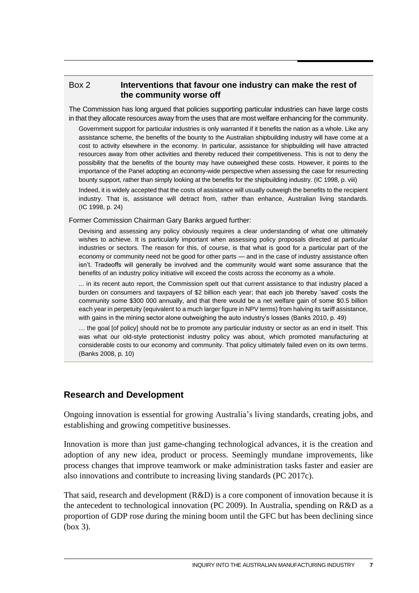#### Box 2 **Interventions that favour one industry can make the rest of the community worse off**

The Commission has long argued that policies supporting particular industries can have large costs in that they allocate resources away from the uses that are most welfare enhancing for the community.

Government support for particular industries is only warranted if it benefits the nation as a whole. Like any assistance scheme, the benefits of the bounty to the Australian shipbuilding industry will have come at a cost to activity elsewhere in the economy. In particular, assistance for shipbuilding will have attracted resources away from other activities and thereby reduced their competitiveness. This is not to deny the possibility that the benefits of the bounty may have outweighed these costs. However, it points to the importance of the Panel adopting an economy-wide perspective when assessing the case for resurrecting bounty support, rather than simply looking at the benefits for the shipbuilding industry. (IC 1998, p. viii)

Indeed, it is widely accepted that the costs of assistance will usually outweigh the benefits to the recipient industry. That is, assistance will detract from, rather than enhance, Australian living standards. (IC 1998, p. 24)

Former Commission Chairman Gary Banks argued further:

Devising and assessing any policy obviously requires a clear understanding of what one ultimately wishes to achieve. It is particularly important when assessing policy proposals directed at particular industries or sectors. The reason for this, of course, is that what is good for a particular part of the economy or community need not be good for other parts — and in the case of industry assistance often isn't. Tradeoffs will generally be involved and the community would want some assurance that the benefits of an industry policy initiative will exceed the costs across the economy as a whole.

... in its recent auto report, the Commission spelt out that current assistance to that industry placed a burden on consumers and taxpayers of \$2 billion each year; that each job thereby 'saved' costs the community some \$300 000 annually, and that there would be a net welfare gain of some \$0.5 billion each year in perpetuity (equivalent to a much larger figure in NPV terms) from halving its tariff assistance, with gains in the mining sector alone outweighing the auto industry's losses (Banks 2010, p. 49)

… the goal [of policy] should not be to promote any particular industry or sector as an end in itself. This was what our old-style protectionist industry policy was about, which promoted manufacturing at considerable costs to our economy and community. That policy ultimately failed even on its own terms. (Banks 2008, p. 10)

### **Research and Development**

Ongoing innovation is essential for growing Australia's living standards, creating jobs, and establishing and growing competitive businesses.

Innovation is more than just game-changing technological advances, it is the creation and adoption of any new idea, product or process. Seemingly mundane improvements, like process changes that improve teamwork or make administration tasks faster and easier are also innovations and contribute to increasing living standards (PC 2017c).

That said, research and development (R&D) is a core component of innovation because it is the antecedent to technological innovation (PC 2009). In Australia, spending on R&D as a proportion of GDP rose during the mining boom until the GFC but has been declining since (box 3).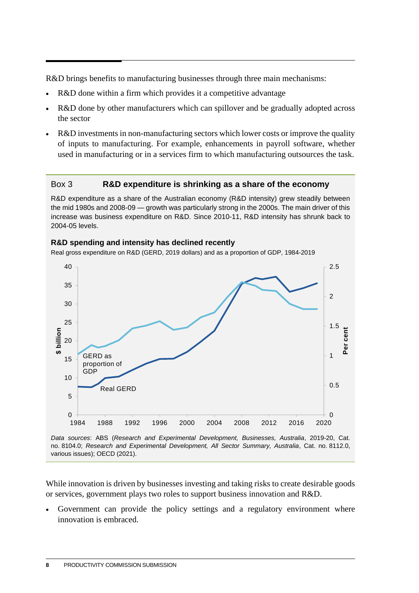R&D brings benefits to manufacturing businesses through three main mechanisms:

- R&D done within a firm which provides it a competitive advantage
- R&D done by other manufacturers which can spillover and be gradually adopted across the sector
- R&D investments in non-manufacturing sectors which lower costs or improve the quality of inputs to manufacturing. For example, enhancements in payroll software, whether used in manufacturing or in a services firm to which manufacturing outsources the task.

#### Box 3 **R&D expenditure is shrinking as a share of the economy**

R&D expenditure as a share of the Australian economy (R&D intensity) grew steadily between the mid 1980s and 2008-09 — growth was particularly strong in the 2000s. The main driver of this increase was business expenditure on R&D. Since 2010-11, R&D intensity has shrunk back to 2004-05 levels.

# **R&D spending and intensity has declined recently**

Real gross expenditure on R&D (GERD, 2019 dollars) and as a proportion of GDP, 1984-2019



*Data sources*: ABS (*Research and Experimental Development, Businesses, Australia*, 2019-20, Cat. no. 8104.0; *Research and Experimental Development, All Sector Summary, Australia*, Cat. no. 8112.0, various issues); OECD (2021).

While innovation is driven by businesses investing and taking risks to create desirable goods or services, government plays two roles to support business innovation and R&D.

Government can provide the policy settings and a regulatory environment where innovation is embraced.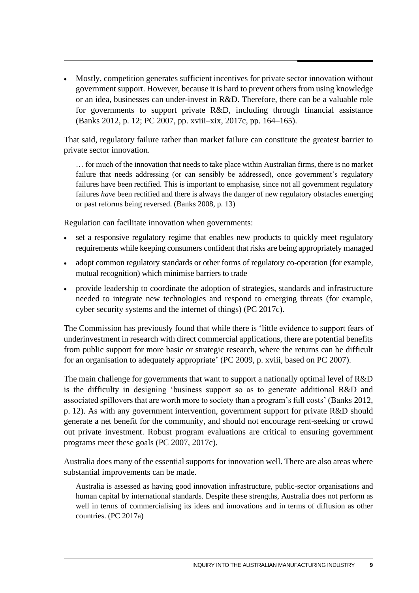• Mostly, competition generates sufficient incentives for private sector innovation without government support. However, because it is hard to prevent others from using knowledge or an idea, businesses can under-invest in R&D. Therefore, there can be a valuable role for governments to support private R&D, including through financial assistance (Banks 2012, p. 12; PC 2007, pp. xviii–xix, 2017c, pp. 164–165).

That said, regulatory failure rather than market failure can constitute the greatest barrier to private sector innovation.

… for much of the innovation that needs to take place within Australian firms, there is no market failure that needs addressing (or can sensibly be addressed), once government's regulatory failures have been rectified. This is important to emphasise, since not all government regulatory failures *have* been rectified and there is always the danger of new regulatory obstacles emerging or past reforms being reversed. (Banks 2008, p. 13)

Regulation can facilitate innovation when governments:

- set a responsive regulatory regime that enables new products to quickly meet regulatory requirements while keeping consumers confident that risks are being appropriately managed
- adopt common regulatory standards or other forms of regulatory co-operation (for example, mutual recognition) which minimise barriers to trade
- provide leadership to coordinate the adoption of strategies, standards and infrastructure needed to integrate new technologies and respond to emerging threats (for example, cyber security systems and the internet of things) (PC 2017c).

The Commission has previously found that while there is 'little evidence to support fears of underinvestment in research with direct commercial applications, there are potential benefits from public support for more basic or strategic research, where the returns can be difficult for an organisation to adequately appropriate' (PC 2009, p. xviii, based on PC 2007).

The main challenge for governments that want to support a nationally optimal level of R&D is the difficulty in designing 'business support so as to generate additional R&D and associated spillovers that are worth more to society than a program's full costs' (Banks 2012, p. 12). As with any government intervention, government support for private R&D should generate a net benefit for the community, and should not encourage rent-seeking or crowd out private investment. Robust program evaluations are critical to ensuring government programs meet these goals (PC 2007, 2017c).

Australia does many of the essential supports for innovation well. There are also areas where substantial improvements can be made.

Australia is assessed as having good innovation infrastructure, public-sector organisations and human capital by international standards. Despite these strengths, Australia does not perform as well in terms of commercialising its ideas and innovations and in terms of diffusion as other countries. (PC 2017a)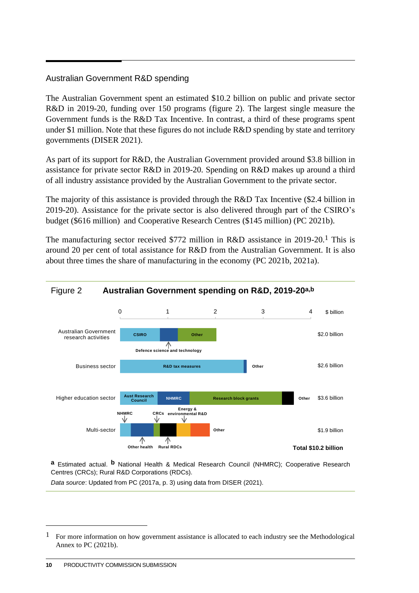### Australian Government R&D spending

The Australian Government spent an estimated \$10.2 billion on public and private sector R&D in 2019-20, funding over 150 programs (figure 2). The largest single measure the Government funds is the R&D Tax Incentive. In contrast, a third of these programs spent under \$1 million. Note that these figures do not include R&D spending by state and territory governments (DISER 2021).

As part of its support for R&D, the Australian Government provided around \$3.8 billion in assistance for private sector R&D in 2019-20. Spending on R&D makes up around a third of all industry assistance provided by the Australian Government to the private sector.

The majority of this assistance is provided through the R&D Tax Incentive (\$2.4 billion in 2019-20). Assistance for the private sector is also delivered through part of the CSIRO's budget (\$616 million) and Cooperative Research Centres (\$145 million) (PC 2021b).

The manufacturing sector received \$772 million in R&D assistance in 2019-20.1 This is around 20 per cent of total assistance for R&D from the Australian Government. It is also about three times the share of manufacturing in the economy (PC 2021b, 2021a).



**a** Estimated actual. **b** National Health & Medical Research Council (NHMRC); Cooperative Research Centres (CRCs); Rural R&D Corporations (RDCs).

*Data source*: Updated from PC (2017a, p. 3) using data from DISER (2021).

<sup>1</sup> For more information on how government assistance is allocated to each industry see the Methodological Annex to PC (2021b).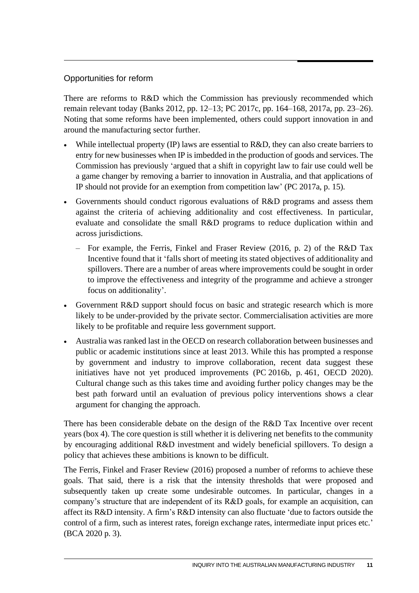### Opportunities for reform

There are reforms to R&D which the Commission has previously recommended which remain relevant today (Banks 2012, pp. 12–13; PC 2017c, pp. 164–168, 2017a, pp. 23–26). Noting that some reforms have been implemented, others could support innovation in and around the manufacturing sector further.

- While intellectual property (IP) laws are essential to R&D, they can also create barriers to entry for new businesses when IP is imbedded in the production of goods and services. The Commission has previously 'argued that a shift in copyright law to fair use could well be a game changer by removing a barrier to innovation in Australia, and that applications of IP should not provide for an exemption from competition law' (PC 2017a, p. 15).
- Governments should conduct rigorous evaluations of R&D programs and assess them against the criteria of achieving additionality and cost effectiveness. In particular, evaluate and consolidate the small R&D programs to reduce duplication within and across jurisdictions.
	- For example, the Ferris, Finkel and Fraser Review (2016, p. 2) of the R&D Tax Incentive found that it 'falls short of meeting its stated objectives of additionality and spillovers. There are a number of areas where improvements could be sought in order to improve the effectiveness and integrity of the programme and achieve a stronger focus on additionality'.
- Government R&D support should focus on basic and strategic research which is more likely to be under-provided by the private sector. Commercialisation activities are more likely to be profitable and require less government support.
- Australia was ranked last in the OECD on research collaboration between businesses and public or academic institutions since at least 2013. While this has prompted a response by government and industry to improve collaboration, recent data suggest these initiatives have not yet produced improvements (PC 2016b, p. 461, OECD 2020). Cultural change such as this takes time and avoiding further policy changes may be the best path forward until an evaluation of previous policy interventions shows a clear argument for changing the approach.

There has been considerable debate on the design of the R&D Tax Incentive over recent years (box 4). The core question is still whether it is delivering net benefits to the community by encouraging additional R&D investment and widely beneficial spillovers. To design a policy that achieves these ambitions is known to be difficult.

The Ferris, Finkel and Fraser Review (2016) proposed a number of reforms to achieve these goals. That said, there is a risk that the intensity thresholds that were proposed and subsequently taken up create some undesirable outcomes. In particular, changes in a company's structure that are independent of its R&D goals, for example an acquisition, can affect its R&D intensity. A firm's R&D intensity can also fluctuate 'due to factors outside the control of a firm, such as interest rates, foreign exchange rates, intermediate input prices etc.' (BCA 2020 p. 3).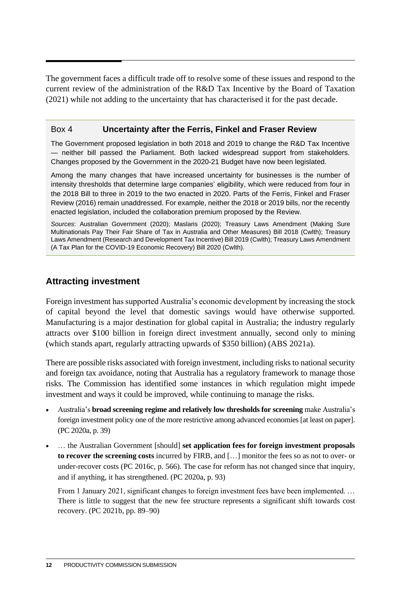The government faces a difficult trade off to resolve some of these issues and respond to the current review of the administration of the R&D Tax Incentive by the Board of Taxation (2021) while not adding to the uncertainty that has characterised it for the past decade.

#### Box 4 **Uncertainty after the Ferris, Finkel and Fraser Review**

The Government proposed legislation in both 2018 and 2019 to change the R&D Tax Incentive — neither bill passed the Parliament. Both lacked widespread support from stakeholders. Changes proposed by the Government in the 2020-21 Budget have now been legislated.

Among the many changes that have increased uncertainty for businesses is the number of intensity thresholds that determine large companies' eligibility, which were reduced from four in the 2018 Bill to three in 2019 to the two enacted in 2020. Parts of the Ferris, Finkel and Fraser Review (2016) remain unaddressed. For example, neither the 2018 or 2019 bills, nor the recently enacted legislation, included the collaboration premium proposed by the Review.

*Sources*: Australian Government (2020); Maslaris (2020); Treasury Laws Amendment (Making Sure Multinationals Pay Their Fair Share of Tax in Australia and Other Measures) Bill 2018 (Cwlth); Treasury Laws Amendment (Research and Development Tax Incentive) Bill 2019 (Cwlth); Treasury Laws Amendment (A Tax Plan for the COVID-19 Economic Recovery) Bill 2020 (Cwlth).

### **Attracting investment**

Foreign investment has supported Australia's economic development by increasing the stock of capital beyond the level that domestic savings would have otherwise supported. Manufacturing is a major destination for global capital in Australia; the industry regularly attracts over \$100 billion in foreign direct investment annually, second only to mining (which stands apart, regularly attracting upwards of \$350 billion) (ABS 2021a).

There are possible risks associated with foreign investment, including risks to national security and foreign tax avoidance, noting that Australia has a regulatory framework to manage those risks. The Commission has identified some instances in which regulation might impede investment and ways it could be improved, while continuing to manage the risks.

- Australia's **broad screening regime and relatively low thresholds for screening** make Australia's foreign investment policy one of the more restrictive among advanced economies [at least on paper]. (PC 2020a, p. 39)
- … the Australian Government [should] **set application fees for foreign investment proposals to recover the screening costs** incurred by FIRB, and […] monitor the fees so as not to over- or under-recover costs (PC 2016c, p. 566). The case for reform has not changed since that inquiry, and if anything, it has strengthened. (PC 2020a, p. 93)

From 1 January 2021, significant changes to foreign investment fees have been implemented. ... There is little to suggest that the new fee structure represents a significant shift towards cost recovery. (PC 2021b, pp. 89–90)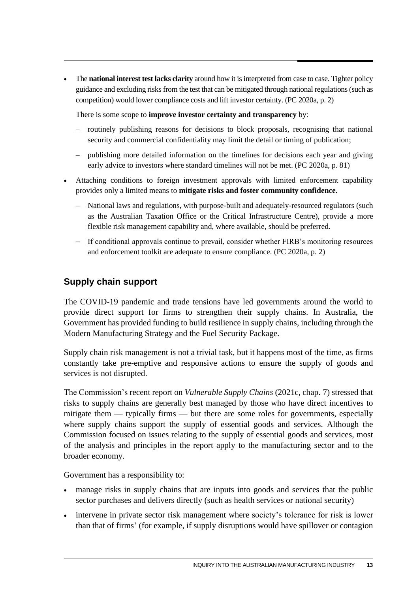• The **national interest test lacks clarity** around how it is interpreted from case to case. Tighter policy guidance and excluding risks from the test that can be mitigated through national regulations (such as competition) would lower compliance costs and lift investor certainty. (PC 2020a, p. 2)

There is some scope to **improve investor certainty and transparency** by:

- routinely publishing reasons for decisions to block proposals, recognising that national security and commercial confidentiality may limit the detail or timing of publication;
- publishing more detailed information on the timelines for decisions each year and giving early advice to investors where standard timelines will not be met. (PC 2020a, p. 81)
- Attaching conditions to foreign investment approvals with limited enforcement capability provides only a limited means to **mitigate risks and foster community confidence.**
	- National laws and regulations, with purpose-built and adequately-resourced regulators (such as the Australian Taxation Office or the Critical Infrastructure Centre), provide a more flexible risk management capability and, where available, should be preferred.
	- If conditional approvals continue to prevail, consider whether FIRB's monitoring resources and enforcement toolkit are adequate to ensure compliance. (PC 2020a, p. 2)

## **Supply chain support**

The COVID-19 pandemic and trade tensions have led governments around the world to provide direct support for firms to strengthen their supply chains. In Australia, the Government has provided funding to build resilience in supply chains, including through the Modern Manufacturing Strategy and the Fuel Security Package.

Supply chain risk management is not a trivial task, but it happens most of the time, as firms constantly take pre-emptive and responsive actions to ensure the supply of goods and services is not disrupted.

The Commission's recent report on *Vulnerable Supply Chains* (2021c, chap. 7) stressed that risks to supply chains are generally best managed by those who have direct incentives to mitigate them — typically firms — but there are some roles for governments, especially where supply chains support the supply of essential goods and services. Although the Commission focused on issues relating to the supply of essential goods and services, most of the analysis and principles in the report apply to the manufacturing sector and to the broader economy.

Government has a responsibility to:

- manage risks in supply chains that are inputs into goods and services that the public sector purchases and delivers directly (such as health services or national security)
- intervene in private sector risk management where society's tolerance for risk is lower than that of firms' (for example, if supply disruptions would have spillover or contagion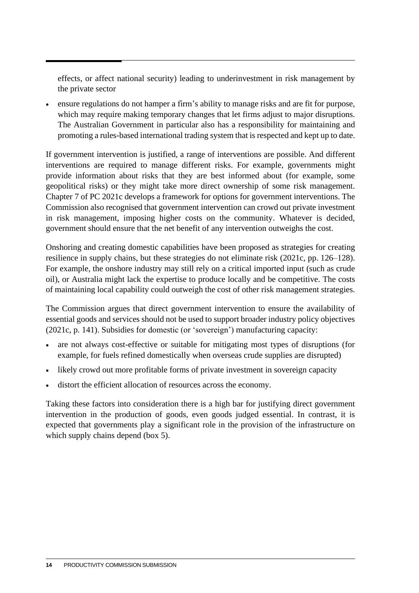effects, or affect national security) leading to underinvestment in risk management by the private sector

• ensure regulations do not hamper a firm's ability to manage risks and are fit for purpose, which may require making temporary changes that let firms adjust to major disruptions. The Australian Government in particular also has a responsibility for maintaining and promoting a rules-based international trading system that is respected and kept up to date.

If government intervention is justified, a range of interventions are possible. And different interventions are required to manage different risks. For example, governments might provide information about risks that they are best informed about (for example, some geopolitical risks) or they might take more direct ownership of some risk management. Chapter 7 of PC 2021c develops a framework for options for government interventions. The Commission also recognised that government intervention can crowd out private investment in risk management, imposing higher costs on the community. Whatever is decided, government should ensure that the net benefit of any intervention outweighs the cost.

Onshoring and creating domestic capabilities have been proposed as strategies for creating resilience in supply chains, but these strategies do not eliminate risk (2021c, pp. 126–128). For example, the onshore industry may still rely on a critical imported input (such as crude oil), or Australia might lack the expertise to produce locally and be competitive. The costs of maintaining local capability could outweigh the cost of other risk management strategies.

The Commission argues that direct government intervention to ensure the availability of essential goods and services should not be used to support broader industry policy objectives (2021c, p. 141). Subsidies for domestic (or 'sovereign') manufacturing capacity:

- are not always cost-effective or suitable for mitigating most types of disruptions (for example, for fuels refined domestically when overseas crude supplies are disrupted)
- likely crowd out more profitable forms of private investment in sovereign capacity
- distort the efficient allocation of resources across the economy.

Taking these factors into consideration there is a high bar for justifying direct government intervention in the production of goods, even goods judged essential. In contrast, it is expected that governments play a significant role in the provision of the infrastructure on which supply chains depend (box 5).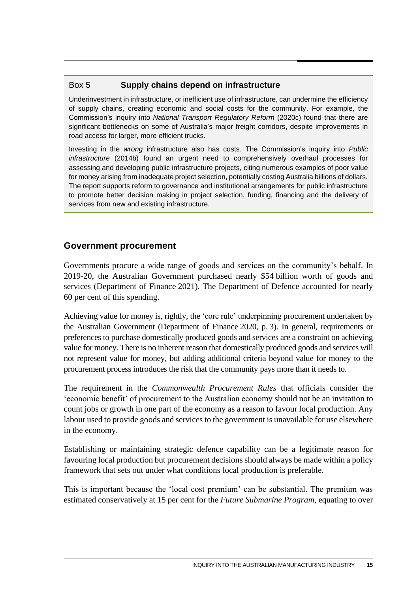### Box 5 **Supply chains depend on infrastructure**

Underinvestment in infrastructure, or inefficient use of infrastructure, can undermine the efficiency of supply chains, creating economic and social costs for the community. For example, the Commission's inquiry into *National Transport Regulatory Reform* (2020c) found that there are significant bottlenecks on some of Australia's major freight corridors, despite improvements in road access for larger, more efficient trucks.

Investing in the *wrong* infrastructure also has costs. The Commission's inquiry into *Public infrastructure* (2014b) found an urgent need to comprehensively overhaul processes for assessing and developing public infrastructure projects, citing numerous examples of poor value for money arising from inadequate project selection, potentially costing Australia billions of dollars. The report supports reform to governance and institutional arrangements for public infrastructure to promote better decision making in project selection, funding, financing and the delivery of services from new and existing infrastructure.

### **Government procurement**

Governments procure a wide range of goods and services on the community's behalf. In 2019-20, the Australian Government purchased nearly \$54 billion worth of goods and services (Department of Finance 2021). The Department of Defence accounted for nearly 60 per cent of this spending.

Achieving value for money is, rightly, the 'core rule' underpinning procurement undertaken by the Australian Government (Department of Finance 2020, p. 3). In general, requirements or preferences to purchase domestically produced goods and services are a constraint on achieving value for money. There is no inherent reason that domestically produced goods and services will not represent value for money, but adding additional criteria beyond value for money to the procurement process introduces the risk that the community pays more than it needs to.

The requirement in the *Commonwealth Procurement Rules* that officials consider the 'economic benefit' of procurement to the Australian economy should not be an invitation to count jobs or growth in one part of the economy as a reason to favour local production. Any labour used to provide goods and services to the government is unavailable for use elsewhere in the economy.

Establishing or maintaining strategic defence capability can be a legitimate reason for favouring local production but procurement decisions should always be made within a policy framework that sets out under what conditions local production is preferable.

This is important because the 'local cost premium' can be substantial. The premium was estimated conservatively at 15 per cent for the *Future Submarine Program*, equating to over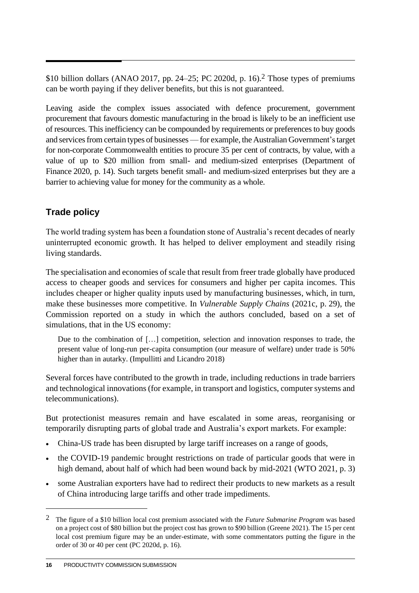\$10 billion dollars (ANAO 2017, pp. 24–25; PC 2020d, p. 16). 2 Those types of premiums can be worth paying if they deliver benefits, but this is not guaranteed.

Leaving aside the complex issues associated with defence procurement, government procurement that favours domestic manufacturing in the broad is likely to be an inefficient use of resources. This inefficiency can be compounded by requirements or preferences to buy goods and services from certain types of businesses—for example, the Australian Government's target for non-corporate Commonwealth entities to procure 35 per cent of contracts, by value, with a value of up to \$20 million from small- and medium-sized enterprises (Department of Finance 2020, p. 14). Such targets benefit small- and medium-sized enterprises but they are a barrier to achieving value for money for the community as a whole.

## **Trade policy**

The world trading system has been a foundation stone of Australia's recent decades of nearly uninterrupted economic growth. It has helped to deliver employment and steadily rising living standards.

The specialisation and economies of scale that result from freer trade globally have produced access to cheaper goods and services for consumers and higher per capita incomes. This includes cheaper or higher quality inputs used by manufacturing businesses, which, in turn, make these businesses more competitive. In *Vulnerable Supply Chains* (2021c, p. 29), the Commission reported on a study in which the authors concluded, based on a set of simulations, that in the US economy:

Due to the combination of […] competition, selection and innovation responses to trade, the present value of long-run per-capita consumption (our measure of welfare) under trade is 50% higher than in autarky. (Impullitti and Licandro 2018)

Several forces have contributed to the growth in trade, including reductions in trade barriers and technological innovations (for example, in transport and logistics, computer systems and telecommunications).

But protectionist measures remain and have escalated in some areas, reorganising or temporarily disrupting parts of global trade and Australia's export markets. For example:

- China-US trade has been disrupted by large tariff increases on a range of goods,
- the COVID-19 pandemic brought restrictions on trade of particular goods that were in high demand, about half of which had been wound back by mid-2021 (WTO 2021, p. 3)
- some Australian exporters have had to redirect their products to new markets as a result of China introducing large tariffs and other trade impediments.

<sup>2</sup> The figure of a \$10 billion local cost premium associated with the *Future Submarine Program* was based on a project cost of \$80 billion but the project cost has grown to \$90 billion (Greene 2021). The 15 per cent local cost premium figure may be an under-estimate, with some commentators putting the figure in the order of 30 or 40 per cent (PC 2020d, p. 16).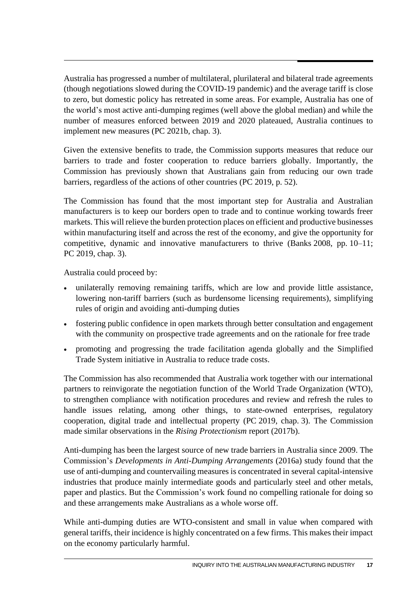Australia has progressed a number of multilateral, plurilateral and bilateral trade agreements (though negotiations slowed during the COVID-19 pandemic) and the average tariff is close to zero, but domestic policy has retreated in some areas. For example, Australia has one of the world's most active anti-dumping regimes (well above the global median) and while the number of measures enforced between 2019 and 2020 plateaued, Australia continues to implement new measures (PC 2021b, chap. 3).

Given the extensive benefits to trade, the Commission supports measures that reduce our barriers to trade and foster cooperation to reduce barriers globally. Importantly, the Commission has previously shown that Australians gain from reducing our own trade barriers, regardless of the actions of other countries (PC 2019, p. 52).

The Commission has found that the most important step for Australia and Australian manufacturers is to keep our borders open to trade and to continue working towards freer markets. This will relieve the burden protection places on efficient and productive businesses within manufacturing itself and across the rest of the economy, and give the opportunity for competitive, dynamic and innovative manufacturers to thrive (Banks 2008, pp.  $10-11$ ; PC 2019, chap. 3).

Australia could proceed by:

- unilaterally removing remaining tariffs, which are low and provide little assistance, lowering non-tariff barriers (such as burdensome licensing requirements), simplifying rules of origin and avoiding anti-dumping duties
- fostering public confidence in open markets through better consultation and engagement with the community on prospective trade agreements and on the rationale for free trade
- promoting and progressing the trade facilitation agenda globally and the Simplified Trade System initiative in Australia to reduce trade costs.

The Commission has also recommended that Australia work together with our international partners to reinvigorate the negotiation function of the World Trade Organization (WTO), to strengthen compliance with notification procedures and review and refresh the rules to handle issues relating, among other things, to state-owned enterprises, regulatory cooperation, digital trade and intellectual property (PC 2019, chap. 3). The Commission made similar observations in the *Rising Protectionism* report (2017b).

Anti-dumping has been the largest source of new trade barriers in Australia since 2009. The Commission's *Developments in Anti-Dumping Arrangements* (2016a) study found that the use of anti-dumping and countervailing measures is concentrated in several capital-intensive industries that produce mainly intermediate goods and particularly steel and other metals, paper and plastics. But the Commission's work found no compelling rationale for doing so and these arrangements make Australians as a whole worse off.

While anti-dumping duties are WTO-consistent and small in value when compared with general tariffs, their incidence is highly concentrated on a few firms. This makes their impact on the economy particularly harmful.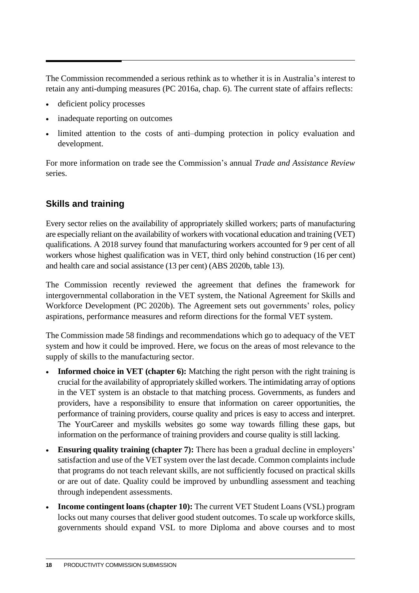The Commission recommended a serious rethink as to whether it is in Australia's interest to retain any anti-dumping measures (PC 2016a, chap. 6). The current state of affairs reflects:

- deficient policy processes
- inadequate reporting on outcomes
- limited attention to the costs of anti–dumping protection in policy evaluation and development.

For more information on trade see the Commission's annual *Trade and Assistance Review* series.

## **Skills and training**

Every sector relies on the availability of appropriately skilled workers; parts of manufacturing are especially reliant on the availability of workers with vocational education and training (VET) qualifications. A 2018 survey found that manufacturing workers accounted for 9 per cent of all workers whose highest qualification was in VET, third only behind construction (16 per cent) and health care and social assistance (13 per cent) (ABS 2020b, table 13).

The Commission recently reviewed the agreement that defines the framework for intergovernmental collaboration in the VET system, the National Agreement for Skills and Workforce Development (PC 2020b). The Agreement sets out governments' roles, policy aspirations, performance measures and reform directions for the formal VET system.

The Commission made 58 findings and recommendations which go to adequacy of the VET system and how it could be improved. Here, we focus on the areas of most relevance to the supply of skills to the manufacturing sector.

- **Informed choice in VET (chapter 6):** Matching the right person with the right training is crucial for the availability of appropriately skilled workers. The intimidating array of options in the VET system is an obstacle to that matching process. Governments, as funders and providers, have a responsibility to ensure that information on career opportunities, the performance of training providers, course quality and prices is easy to access and interpret. The YourCareer and myskills websites go some way towards filling these gaps, but information on the performance of training providers and course quality is still lacking.
- **Ensuring quality training (chapter 7):** There has been a gradual decline in employers' satisfaction and use of the VET system over the last decade. Common complaints include that programs do not teach relevant skills, are not sufficiently focused on practical skills or are out of date. Quality could be improved by unbundling assessment and teaching through independent assessments.
- **Income contingent loans (chapter 10):** The current VET Student Loans (VSL) program locks out many courses that deliver good student outcomes. To scale up workforce skills, governments should expand VSL to more Diploma and above courses and to most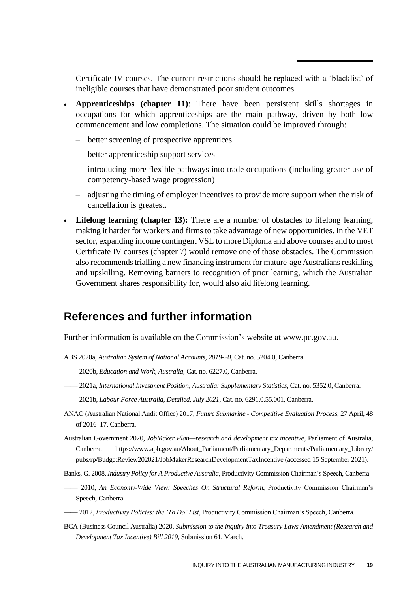Certificate IV courses. The current restrictions should be replaced with a 'blacklist' of ineligible courses that have demonstrated poor student outcomes.

- **Apprenticeships (chapter 11)**: There have been persistent skills shortages in occupations for which apprenticeships are the main pathway, driven by both low commencement and low completions. The situation could be improved through:
	- better screening of prospective apprentices
	- better apprenticeship support services
	- introducing more flexible pathways into trade occupations (including greater use of competency-based wage progression)
	- adjusting the timing of employer incentives to provide more support when the risk of cancellation is greatest.
- **Lifelong learning (chapter 13):** There are a number of obstacles to lifelong learning, making it harder for workers and firms to take advantage of new opportunities. In the VET sector, expanding income contingent VSL to more Diploma and above courses and to most Certificate IV courses (chapter 7) would remove one of those obstacles. The Commission also recommends trialling a new financing instrument for mature-age Australians reskilling and upskilling. Removing barriers to recognition of prior learning, which the Australian Government shares responsibility for, would also aid lifelong learning.

# **References and further information**

Further information is available on the Commission's website at www.pc.gov.au.

- ABS 2020a, *Australian System of National Accounts, 2019-20*, Cat. no. 5204.0, Canberra.
- —— 2020b, *Education and Work, Australia*, Cat. no. 6227.0, Canberra.
- —— 2021a, *International Investment Position, Australia: Supplementary Statistics*, Cat. no. 5352.0, Canberra.
- —— 2021b, *Labour Force Australia, Detailed, July 2021*, Cat. no. 6291.0.55.001, Canberra.
- ANAO (Australian National Audit Office) 2017, *Future Submarine - Competitive Evaluation Process*, 27 April, 48 of 2016–17, Canberra.
- Australian Government 2020, *JobMaker Plan—research and development tax incentive*, Parliament of Australia, Canberra, https://www.aph.gov.au/About\_Parliament/Parliamentary\_Departments/Parliamentary\_Library/ pubs/rp/BudgetReview202021/JobMakerResearchDevelopmentTaxIncentive (accessed 15 September 2021).
- Banks, G. 2008, *Industry Policy for A Productive Australia*, Productivity Commission Chairman's Speech, Canberra.
- —— 2010, *An Economy-Wide View: Speeches On Structural Reform*, Productivity Commission Chairman's Speech, Canberra.
- —— 2012, *Productivity Policies: the 'To Do' List*, Productivity Commission Chairman's Speech, Canberra.
- BCA (Business Council Australia) 2020, *Submission to the inquiry into Treasury Laws Amendment (Research and Development Tax Incentive) Bill 2019*, Submission 61, March.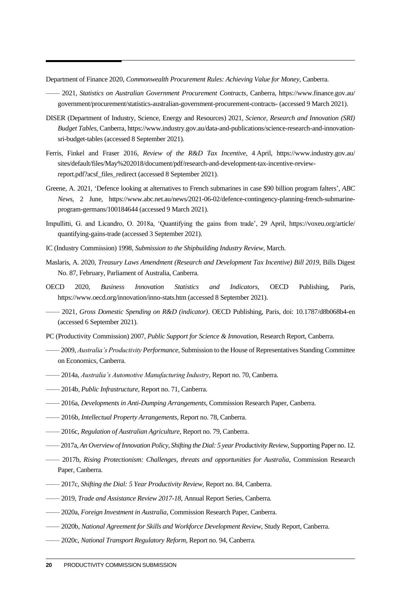Department of Finance 2020, *Commonwealth Procurement Rules: Achieving Value for Money*, Canberra.

- —— 2021, *Statistics on Australian Government Procurement Contracts*, Canberra, https://www.finance.gov.au/ government/procurement/statistics-australian-government-procurement-contracts- (accessed 9 March 2021).
- DISER (Department of Industry, Science, Energy and Resources) 2021, *Science, Research and Innovation (SRI) Budget Tables*, Canberra, https://www.industry.gov.au/data-and-publications/science-research-and-innovationsri-budget-tables (accessed 8 September 2021).
- Ferris, Finkel and Fraser 2016, *Review of the R&D Tax Incentive*, 4 April, https://www.industry.gov.au/ sites/default/files/May%202018/document/pdf/research-and-development-tax-incentive-reviewreport.pdf?acsf\_files\_redirect (accessed 8 September 2021).
- Greene, A. 2021, 'Defence looking at alternatives to French submarines in case \$90 billion program falters', *ABC News*, 2 June, https://www.abc.net.au/news/2021-06-02/defence-contingency-planning-french-submarineprogram-germans/100184644 (accessed 9 March 2021).
- Impullitti, G. and Licandro, O. 2018a, 'Quantifying the gains from trade', 29 April, https://voxeu.org/article/ quantifying-gains-trade (accessed 3 September 2021).
- IC (Industry Commission) 1998, *Submission to the Shipbuilding Industry Review*, March.
- Maslaris, A. 2020, *Treasury Laws Amendment (Research and Development Tax Incentive) Bill 2019*, Bills Digest No. 87, February, Parliament of Australia, Canberra.
- OECD 2020, *Business Innovation Statistics and Indicators*, OECD Publishing, Paris, https://www.oecd.org/innovation/inno-stats.htm (accessed 8 September 2021).
- —— 2021, *Gross Domestic Spending on R&D (indicator)*. OECD Publishing, Paris, doi: 10.1787/d8b068b4-en (accessed 6 September 2021).
- PC (Productivity Commission) 2007, *Public Support for Science & Innovation*, Research Report, Canberra.
- —— 2009, *Australia's Productivity Performance*, Submission to the House of Representatives Standing Committee on Economics, Canberra.
- —— 2014a, *Australia's Automotive Manufacturing Industry*, Report no. 70, Canberra.
- —— 2014b, *Public Infrastructure*, Report no. 71, Canberra.
- —— 2016a, *Developments in Anti-Dumping Arrangements*, Commission Research Paper, Canberra.
- —— 2016b, *Intellectual Property Arrangements*, Report no. 78, Canberra.
- —— 2016c, *Regulation of Australian Agriculture*, Report no. 79, Canberra.
- ——2017a, *An Overview of Innovation Policy, Shifting the Dial: 5 year Productivity Review*, Supporting Paper no. 12.
- —— 2017b, *Rising Protectionism: Challenges, threats and opportunities for Australia*, Commission Research Paper, Canberra.
- —— 2017c, *Shifting the Dial: 5 Year Productivity Review*, Report no. 84, Canberra.
- —— 2019, *Trade and Assistance Review 2017-18*, Annual Report Series, Canberra.
- —— 2020a, *Foreign Investment in Australia*, Commission Research Paper, Canberra.
- —— 2020b, *National Agreement for Skills and Workforce Development Review*, Study Report, Canberra.
- —— 2020c, *National Transport Regulatory Reform*, Report no. 94, Canberra.